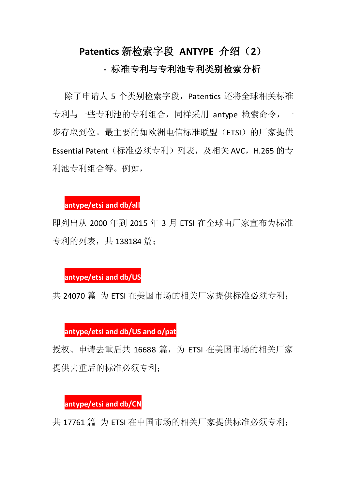# **Patentics** 新检索字段 **ANTYPE** 介绍(**2**)

# **-** 标准专利与专利池专利类别检索分析

除了申请人 5 个类别检索字段,Patentics 还将全球相关标准 专利与一些专利池的专利组合,同样采用 antype 检索命令,一 步存取到位。最主要的如欧洲电信标准联盟(ETSI)的厂家提供 Essential Patent (标准必须专利) 列表, 及相关 AVC, H.265 的专 利池专利组合等。例如,

## **antype/etsi and db/all**

即列出从 2000 年到 2015 年 3 月 ETSI 在全球由厂家宣布为标准 专利的列表,共 138184 篇;

#### **antype/etsi and db/US**

共 24070 篇, 为 ETSI 在美国市场的相关厂家提供标准必须专利;

### **antype/etsi and db/US and o/pat**

授权、申请去重后共 16688 篇, 为 ETSI 在美国市场的相关厂家 提供去重后的标准必须专利;

#### **antype/etsi and db/CN**

共 17761 篇 为 ETSI 在中国市场的相关厂家提供标准必须专利;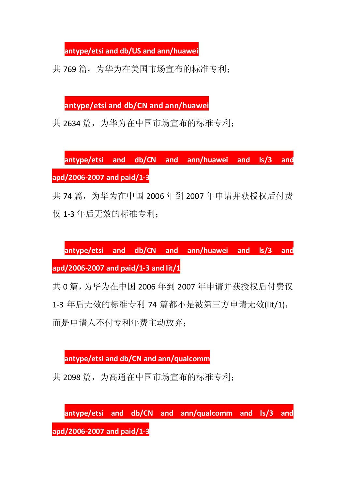**antype/etsi and db/US and ann/huawei**

共 769 篇, 为华为在美国市场宣布的标准专利;

**antype/etsi and db/CN and ann/huawei**

共 2634 篇, 为华为在中国市场宣布的标准专利;

**antype/etsi and db/CN and ann/huawei and ls/3 and apd/2006-2007 and paid/1-3**

共 74 篇, 为华为在中国 2006 年到 2007 年申请并获授权后付费 仅 1-3 年后无效的标准专利;

**antype/etsi and db/CN and ann/huawei and ls/3 and apd/2006-2007 and paid/1-3 and lit/1**

共 0 篇,为华为在中国 2006 年到 2007 年申请并获授权后付费仅 1-3 年后无效的标准专利 74 篇都不是被第三方申请无效(lit/1), 而是申请人不付专利年费主动放弃;

**antype/etsi and db/CN and ann/qualcomm**

共 2098 篇, 为高通在中国市场宣布的标准专利;

**antype/etsi and db/CN and ann/qualcomm and ls/3 and apd/2006-2007 and paid/1-3**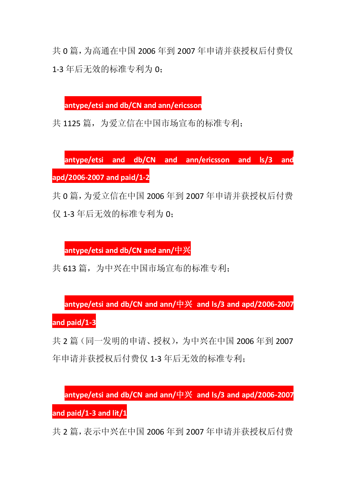共 0 篇,为高通在中国 2006 年到 2007 年申请并获授权后付费仅 1-3 年后无效的标准专利为 0:

**antype/etsi and db/CN and ann/ericsson**

共 1125 篇, 为爱立信在中国市场宣布的标准专利;

**antype/etsi and db/CN and ann/ericsson and ls/3 and apd/2006-2007 and paid/1-2**

共 0 篇,为爱立信在中国 2006 年到 2007 年申请并获授权后付费 仅 1-3 年后无效的标准专利为 0:

**antype/etsi and db/CN and ann/**中兴

共 613 篇, 为中兴在中国市场宣布的标准专利;

**antype/etsi and db/CN and ann/**中兴 **and ls/3 and apd/2006-2007**

**and paid/1-3**

共 2 篇(同一发明的申请、授权),为中兴在中国 2006 年到 2007 年申请并获授权后付费仅 1-3 年后无效的标准专利;

**antype/etsi and db/CN and ann/**中兴 **and ls/3 and apd/2006-2007**

**and paid/1-3 and lit/1**

共 2 篇,表示中兴在中国 2006 年到 2007 年申请并获授权后付费